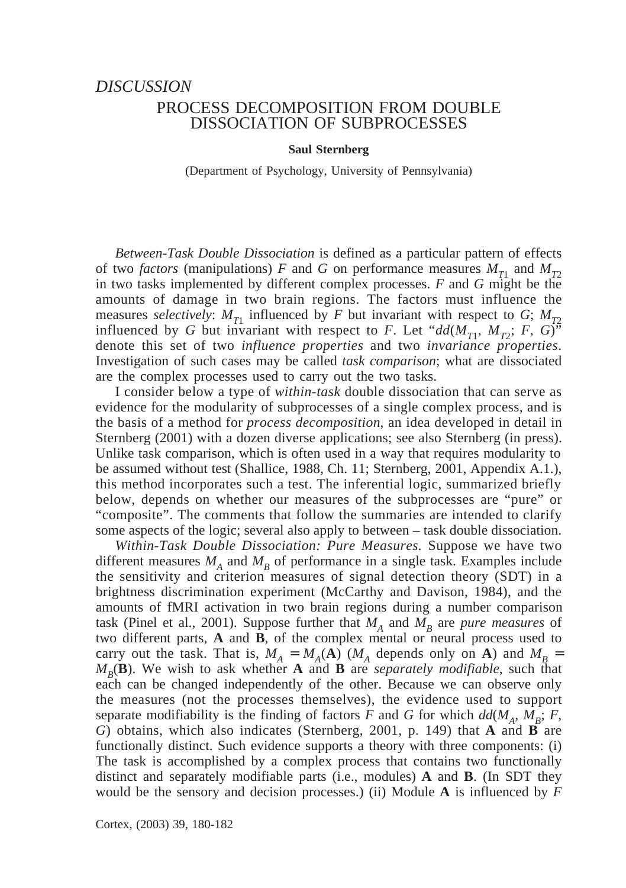## *DISCUSSION* PROCESS DECOMPOSITION FROM DOUBLE DISSOCIATION OF SUBPROCESSES

## **Saul Sternberg**

(Department of Psychology, University of Pennsylvania)

*Between-Task Double Dissociation* is defined as a particular pattern of effects of two *factors* (manipulations) *F* and *G* on performance measures  $M_{T1}$  and  $M_{T2}$ in two tasks implemented by different complex processes. *F* and *G* might be the amounts of damage in two brain regions. The factors must influence the measures *selectively:*  $M_{T1}$  influenced by *F* but invariant with respect to *G*;  $M_{T2}$ influenced by *G* but invariant with respect to *F*. Let " $dd(M_{T_1}, M_{T_2}; F, G)$ " denote this set of two *influence properties* and two *invariance properties*. Investigation of such cases may be called *task comparison*; what are dissociated are the complex processes used to carry out the two tasks.

I consider below a type of *within-task* double dissociation that can serve as evidence for the modularity of subprocesses of a single complex process, and is the basis of a method for *process decomposition*, an idea developed in detail in Sternberg (2001) with a dozen diverse applications; see also Sternberg (in press). Unlike task comparison, which is often used in a way that requires modularity to be assumed without test (Shallice, 1988, Ch. 11; Sternberg, 2001, Appendix A.1.), this method incorporates such a test. The inferential logic, summarized briefly below, depends on whether our measures of the subprocesses are "pure" or "composite". The comments that follow the summaries are intended to clarify some aspects of the logic; several also apply to between – task double dissociation.

*Within-Task Double Dissociation: Pure Measures.* Suppose we have two different measures  $M_A$  and  $M_B$  of performance in a single task. Examples include the sensitivity and criterion measures of signal detection theory (SDT) in a brightness discrimination experiment (McCarthy and Davison, 1984), and the amounts of fMRI activation in two brain regions during a number comparison task (Pinel et al., 2001). Suppose further that  $M_A$  and  $M_B$  are *pure measures* of two different parts,  $\bf{A}$  and  $\bf{\overline{B}}$ , of the complex mental or neural process used to carry out the task. That is,  $M_A = M_A(A)$  ( $M_A$  depends only on **A**) and  $M_B =$  $M_p(\mathbf{B})$ . We wish to ask whether **A** and **B** are *separately modifiable*, such that each can be changed independently of the other. Because we can observe only the measures (not the processes themselves), the evidence used to support separate modifiability is the finding of factors *F* and *G* for which  $dd(M_A, M_B; F,$ *G*) obtains, which also indicates (Sternberg, 2001, p. 149) that **A** and **B** are functionally distinct. Such evidence supports a theory with three components: (i) The task is accomplished by a complex process that contains two functionally distinct and separately modifiable parts (i.e., modules) **A** and **B**. (In SDT they would be the sensory and decision processes.) (ii) Module **A** is influenced by *F*

Cortex, (2003) 39, 180-182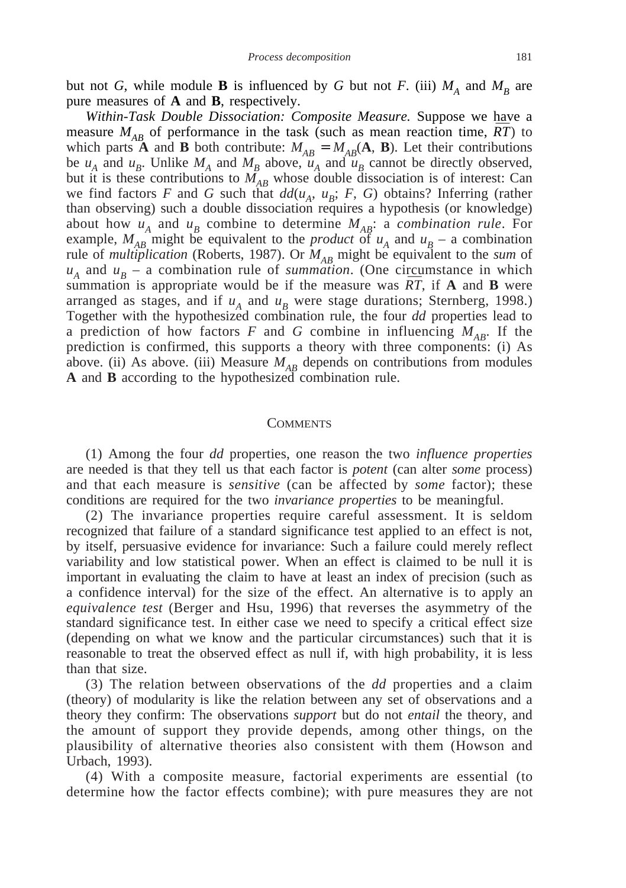but not *G*, while module **B** is influenced by *G* but not *F*. (iii)  $M_A$  and  $M_B$  are pure measures of **A** and **B**, respectively.

*Within-Task Double Dissociation: Composite Measure.* Suppose we have a measure  $M_{AB}$  of performance in the task (such as mean reaction time,  $\overline{RT}$ ) to which parts **A** and **B** both contribute:  $M_{AB} = M_{AB}(A, B)$ . Let their contributions be  $u_A$  and  $u_B$ . Unlike  $M_A$  and  $M_B$  above,  $u_A$  and  $u_B$  cannot be directly observed, but it is these contributions to  $M_{AB}$  whose double dissociation is of interest: Can we find factors *F* and *G* such that  $dd(u_A, u_B; F, G)$  obtains? Inferring (rather than observing) such a double dissociation requires a hypothesis (or knowledge) about how  $u_A$  and  $u_B$  combine to determine  $M_{AB}$ : a *combination rule*. For example,  $M_{AB}$  might be equivalent to the *product* of  $u_A$  and  $u_B$  – a combination rule of *multiplication* (Roberts, 1987). Or  $M_{AB}$  might be equivalent to the *sum* of  $u_A$  and  $u_B$  – a combination rule of *summation*. (One circumstance in which summation is appropriate would be if the measure was  $\overline{RT}$ , if **A** and **B** were arranged as stages, and if  $u_A$  and  $u_B$  were stage durations; Sternberg, 1998.) Together with the hypothesized combination rule, the four *dd* properties lead to a prediction of how factors *F* and *G* combine in influencing  $M_{AB}$ . If the prediction is confirmed, this supports a theory with three components: (i) As above. (ii) As above. (iii) Measure  $M_{AB}$  depends on contributions from modules **A** and **B** according to the hypothesized combination rule.

## **COMMENTS**

(1) Among the four *dd* properties, one reason the two *influence properties* are needed is that they tell us that each factor is *potent* (can alter *some* process) and that each measure is *sensitive* (can be affected by *some* factor); these conditions are required for the two *invariance properties* to be meaningful.

(2) The invariance properties require careful assessment. It is seldom recognized that failure of a standard significance test applied to an effect is not, by itself, persuasive evidence for invariance: Such a failure could merely reflect variability and low statistical power. When an effect is claimed to be null it is important in evaluating the claim to have at least an index of precision (such as a confidence interval) for the size of the effect. An alternative is to apply an *equivalence test* (Berger and Hsu, 1996) that reverses the asymmetry of the standard significance test. In either case we need to specify a critical effect size (depending on what we know and the particular circumstances) such that it is reasonable to treat the observed effect as null if, with high probability, it is less than that size.

(3) The relation between observations of the *dd* properties and a claim (theory) of modularity is like the relation between any set of observations and a theory they confirm: The observations *support* but do not *entail* the theory, and the amount of support they provide depends, among other things, on the plausibility of alternative theories also consistent with them (Howson and Urbach, 1993).

(4) With a composite measure, factorial experiments are essential (to determine how the factor effects combine); with pure measures they are not